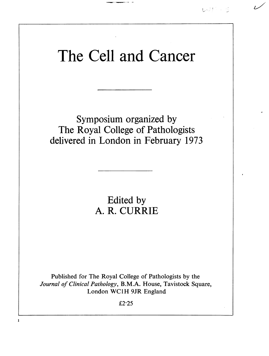

## The Cell and Cancer

Symposium organized by The Royal College of Pathologists delivered in London in February 1973

> Edited by A. R. CURRIE

Published for The Royal College of Pathologists by the Journal of Clinical Pathology, B.M.A. House, Tavistock Square, London WC1H 9JR England

 $£2.25$ 

1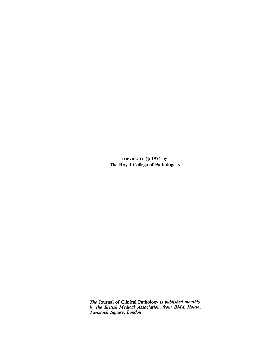COPYRIGHT  $\oslash$  1974 by The Royal College of Pathologists

The Journal of Clinical Pathology is published monthly by the British Medical Association, from BMA House, Tavistock Square, London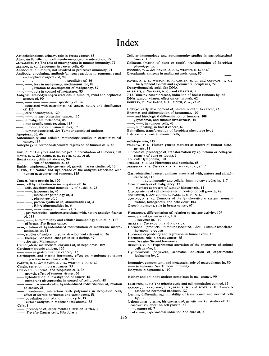## Index

Aetiocholanolone, urinary, role in breast cancer, 68 Aflatoxin  $B_1$ , effect on cell membrane-polysome interaction, 55 cancer, 117 ALEXANDER, P.: The role of macrophages in tumour immunity, 77 ALLISON, A. C.: Lysosomes in cancer cells, 43 Antibodies in tumours, not involved in protective immunity, 91 Antibody, circulating, antibody/antigen reactions in tumours, renal and nephrotic aspects of, 90 -, specificity of, <sup>86</sup> -, loss in malignancy, mechanisms for, 88  $-$ , relation to development of malignancy, 87  $-$ .  $-$ -, role in control of metastases, 83 Antigens, antibody/antigen reactions in tumours, renal and nephrotic aspects of, 90 , specificity of, 86 associated with gastrointestinal cancer, nature and significance of, 115 -, carcinoembryonic, 120 -, in gastrointestinal cancer, 115 in malignant melanoma, 85 non-specific cross-reacting, 117 -, tumour, and cell fusion studies, 17 -, tumour-associated, See Tumour-associated antigens Apoptosis, 36, 46 Autoimmunity and cellular immunology studies in gastrointestinal cancer, 117 Autophagy in hormone-dependent regression of tumour cells, 46 genesis, 11 BIRD, c. C.: Enzymes and histological differentiation of tumours, 108 BLYTH, C. A. See RABIN, B. R., BLYTH, C. A., et al. Breast cancer, differentiation in, 94 Follicular lymphoma, 104 -, role of hormones in, 65 Burkitt lymphomas, histogenesis of, genetic marker studies of, 13 BURTIN, P.: Nature and significance of the antigens associated with human gastrointestinal tumours, 115 Cancer, basic protein in, 120 cell hybridization in investigation of, 16 cells, developmental potentiality of nuclei in, 28  $-$ , lysosomes in, 43  $-$ , molecular pathology of, 4 -, phenotype of, 3 - -, protein synthesis in, abnormalities of, 4 RNA abnormalities in, <sup>6</sup> - viruses in, nature of, 7 gastrointestinal, antigens associated with, nature and significance of, 115 -, autoimmunity and cellular immunology studies in, 117 of breast. See Breast cancer -, relation of ligand-induced redistribution of membrane macromolecules to, 31 studies of early embryonic development relevant to, 26 therapy, lysosomal changes in cells during, 47 Hormones, role in breast cancer, 65 . See also Malignancy Carbohydrate metabolism, enzymes of, in hepatomas, 109 cells in vivo, 1 Carcinoembryonic antigen, 120 - in gastrointestinal cancer, 115 Carcinogens and steroid hormones, effect on membrane-polysome interaction in neoplastic cells, 55 CARTER, R. L. See DAVIES, A. J. S., WESTON, B. J., et al. Casein, secretion in breast cancer, 95 Cell death in normal and neoplastic cells, 35 Isozymes in hepatomas, <sup>1</sup> 10 growth, effect of tumour viruses, 60 hybridization in investigation of cancer, 16 - membrane glycoproteins in control of cell growth, 48 - macromolecules, ligand-induced redistribution of, relation to cancer, 31 membranes, interaction with polysomes in neoplastic cells, effect of steroid hormones and carcinogens, 51

population control and mitotic cycle, 19 surface antigens in malignant melanoma, 85

- Cells, 1
- -, phenotype of, experimental alteration in vivo, 1

-. See also Cancer cells, Fibroblasts

Cellular immunology and autoimmunity studies in gastrointestinal

Collagens (matrix of bone or tooth), transformation of fibroblast phenotype by, <sup>1</sup>

CONNORS, T. A. See DAVIES, A. J. S., WESTON, B. J., et al. Cytoplasmic antigens in malignant melanoma, 85

DAVIES, A. J. S., WESTON, B. J., CARTER, R. L., and CONNORS, T. A.: The lymphoid system and experimental neoplasias, 72 Deoxyribonucleic acid. See DNA

- DE PETRIS, S. See RAFF, M. C., and DE PETRIS, S.
- 7,12-Dimethylbenanthracene, induction of breast tumours by, 66

DNA tumour viruses, effect on cell growth, <sup>62</sup>

DOHERTY, D. See RABIN, B. R., BLYTH, C. A., et al.

Embryo, early development of, studies relevant to cancer, 26 Enzymes and differentiation of hepatomas, 109

- and histological differentiation of tumours, 108
- $-$ , lysosomal, and tumour invasiveness, 45<br> $-$ ,  $-$ , in tumour cells, 43
- -, in tumour cells, 43 -, sulphating, in breast cancer, <sup>69</sup>

Epithelium, transformation of fibroblast phenotype by, <sup>1</sup>

Esterase in virus-transformed cells,

a-Fetoprotein, 119

FIALKOW, P. J.: Human genetic markers as tracers of tumour histo-

Fibroblasts, phenotype of, transformation by epithelium or collagens (matrix of bone or tooth), <sup>I</sup>

FORREST, A. P. M.: Hormones and neoplasia, 65

- FREEDMAN, R. B. See RABIN, B. R., BLYTH, C. A., et al.
- 
- Gastrointestinal cancer, antigens associated with, nature and significance of, 115

, autoimmunity and cellular immuinology studies in, 117 Genetic analysis of malignancy, 17

- markers as tracers of tumour histogenesis, 11
- Glycoproteins of cell membranes in control of cell growth, 48
- GOLDSMITH, I. See YOUNG, S., PANG, L. S. C., et al.

GOWING, N. F. C.: Tumours of the lymphoreticular system: nomenclature, histogenesis, and behaviour, 103

Growth hormone, role in breast cancer, 67

Hepatomas, differentiation of, relation to enzyme activity, 109 -, graded system in rats, 108

- -, isozymes in, 110
- 
- HICKEY, I. See PAUL, J., and HICKEY, I.<br>Hormonal products, tumour-associated. See Tumour-associated hormonal products
- Hormone dependency and regression in tumour cells, 46

See also Steroid hormones

- HUGGINS, C. B.: Experimental altera.ion of the phenotype of animal
- Hydrocarbons, polycyclic, aromatic, induction of experimental leukaemia by, 2

Immunity, concomitant, and metastasis, role of macrophages in, 80 - to tumours. See Tumour immunity

Kidney and antibody-antigen complexes in malignancy, 90

LAMERTON, L. F.: The mitotic cycle and cell population control, 19 LANDON, J., RATCLIFFE, J. G., REES, L. H., and SCOTT, A. P.: Tumour-

associated hormonal products, 127

Lectins, differential agglutinability of transformed and normal cells by, 32

Leiomyomas, uterine, histogenesis of, genetic marker studies of, <sup>11</sup> Leucoviruses, effect on cell growth, 62

, nature of, 7

Leukaemia, experimental induction and cure of, 2